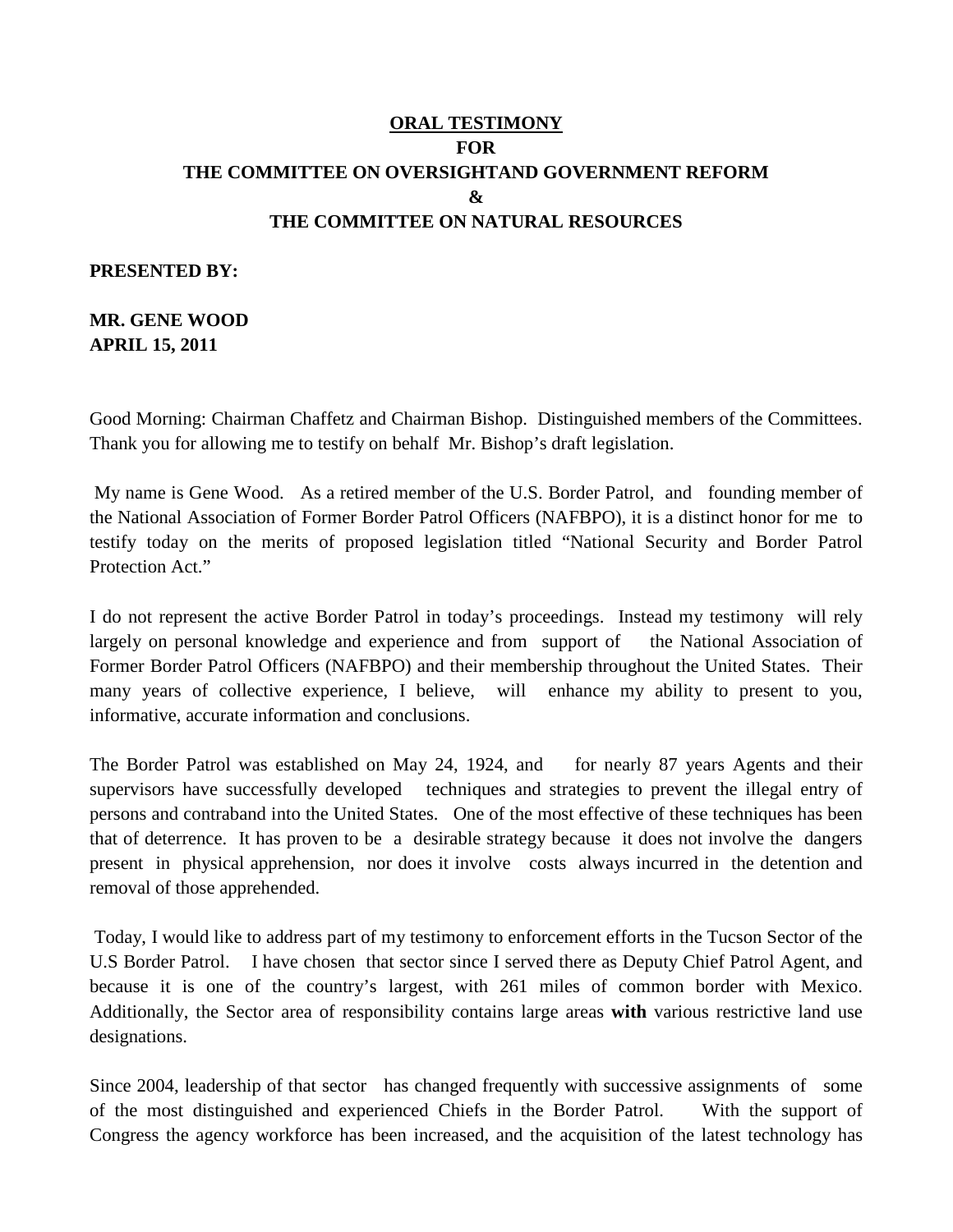## **ORAL TESTIMONY FOR THE COMMITTEE ON OVERSIGHTAND GOVERNMENT REFORM & THE COMMITTEE ON NATURAL RESOURCES**

## **PRESENTED BY:**

**MR. GENE WOOD APRIL 15, 2011**

Good Morning: Chairman Chaffetz and Chairman Bishop. Distinguished members of the Committees. Thank you for allowing me to testify on behalf Mr. Bishop's draft legislation.

My name is Gene Wood. As a retired member of the U.S. Border Patrol, and founding member of the National Association of Former Border Patrol Officers (NAFBPO), it is a distinct honor for me to testify today on the merits of proposed legislation titled "National Security and Border Patrol Protection Act."

I do not represent the active Border Patrol in today's proceedings. Instead my testimony will rely largely on personal knowledge and experience and from support of the National Association of Former Border Patrol Officers (NAFBPO) and their membership throughout the United States. Their many years of collective experience, I believe, will enhance my ability to present to you, informative, accurate information and conclusions.

The Border Patrol was established on May 24, 1924, and for nearly 87 years Agents and their supervisors have successfully developed techniques and strategies to prevent the illegal entry of persons and contraband into the United States. One of the most effective of these techniques has been that of deterrence. It has proven to be a desirable strategy because it does not involve the dangers present in physical apprehension, nor does it involve costs always incurred in the detention and removal of those apprehended.

Today, I would like to address part of my testimony to enforcement efforts in the Tucson Sector of the U.S Border Patrol. I have chosen that sector since I served there as Deputy Chief Patrol Agent, and because it is one of the country's largest, with 261 miles of common border with Mexico. Additionally, the Sector area of responsibility contains large areas **with** various restrictive land use designations.

Since 2004, leadership of that sector has changed frequently with successive assignments of some of the most distinguished and experienced Chiefs in the Border Patrol. With the support of Congress the agency workforce has been increased, and the acquisition of the latest technology has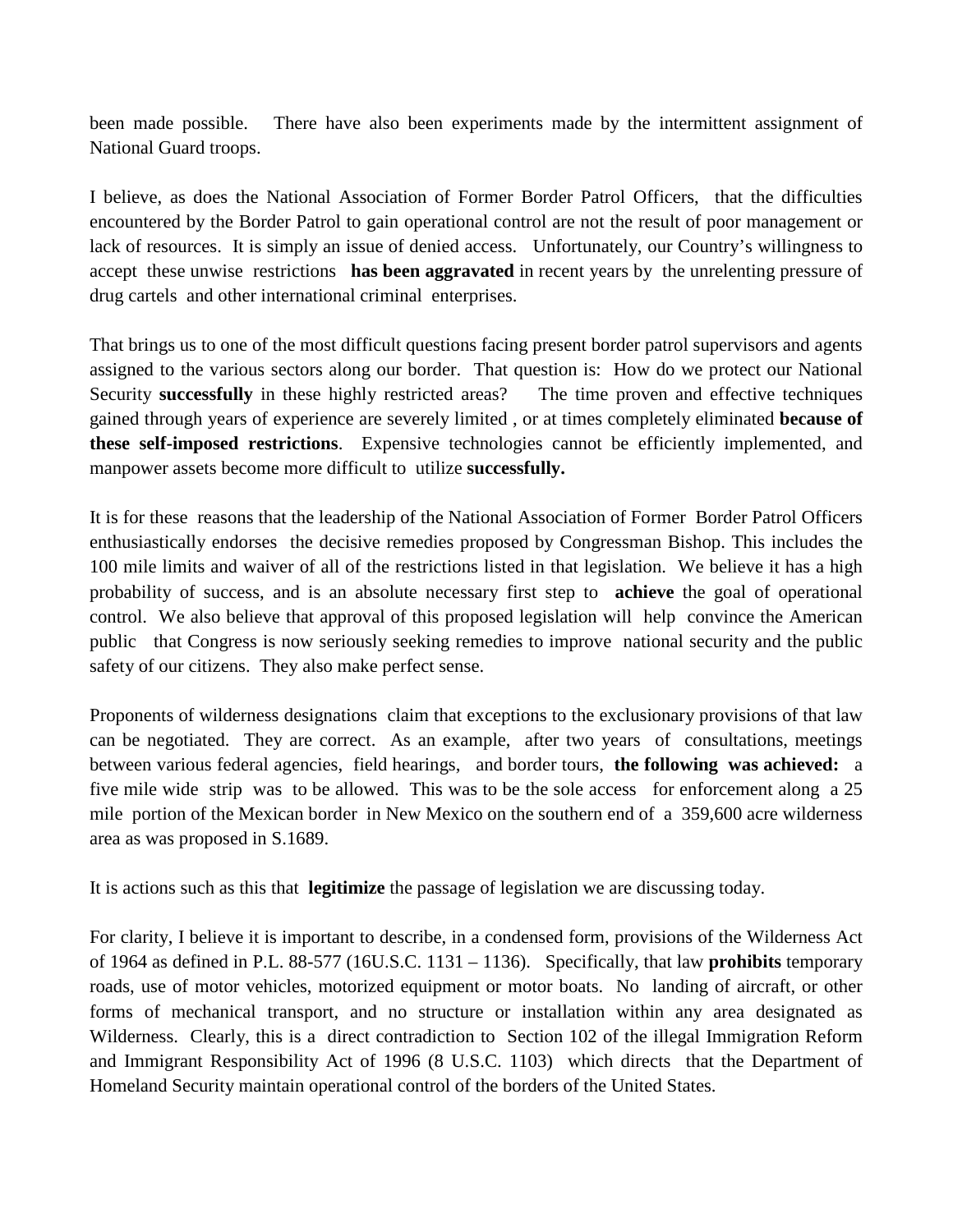been made possible. There have also been experiments made by the intermittent assignment of National Guard troops.

I believe, as does the National Association of Former Border Patrol Officers, that the difficulties encountered by the Border Patrol to gain operational control are not the result of poor management or lack of resources. It is simply an issue of denied access. Unfortunately, our Country's willingness to accept these unwise restrictions **has been aggravated** in recent years by the unrelenting pressure of drug cartels and other international criminal enterprises.

That brings us to one of the most difficult questions facing present border patrol supervisors and agents assigned to the various sectors along our border. That question is: How do we protect our National Security **successfully** in these highly restricted areas? The time proven and effective techniques gained through years of experience are severely limited , or at times completely eliminated **because of these self-imposed restrictions**. Expensive technologies cannot be efficiently implemented, and manpower assets become more difficult to utilize **successfully.**

It is for these reasons that the leadership of the National Association of Former Border Patrol Officers enthusiastically endorses the decisive remedies proposed by Congressman Bishop. This includes the 100 mile limits and waiver of all of the restrictions listed in that legislation. We believe it has a high probability of success, and is an absolute necessary first step to **achieve** the goal of operational control. We also believe that approval of this proposed legislation will help convince the American public that Congress is now seriously seeking remedies to improve national security and the public safety of our citizens. They also make perfect sense.

Proponents of wilderness designations claim that exceptions to the exclusionary provisions of that law can be negotiated. They are correct. As an example, after two years of consultations, meetings between various federal agencies, field hearings, and border tours, **the following was achieved:** a five mile wide strip was to be allowed. This was to be the sole access for enforcement along a 25 mile portion of the Mexican border in New Mexico on the southern end of a 359,600 acre wilderness area as was proposed in S.1689.

It is actions such as this that **legitimize** the passage of legislation we are discussing today.

For clarity, I believe it is important to describe, in a condensed form, provisions of the Wilderness Act of 1964 as defined in P.L. 88-577 (16U.S.C. 1131 – 1136). Specifically, that law **prohibits** temporary roads, use of motor vehicles, motorized equipment or motor boats. No landing of aircraft, or other forms of mechanical transport, and no structure or installation within any area designated as Wilderness. Clearly, this is a direct contradiction to Section 102 of the illegal Immigration Reform and Immigrant Responsibility Act of 1996 (8 U.S.C. 1103) which directs that the Department of Homeland Security maintain operational control of the borders of the United States.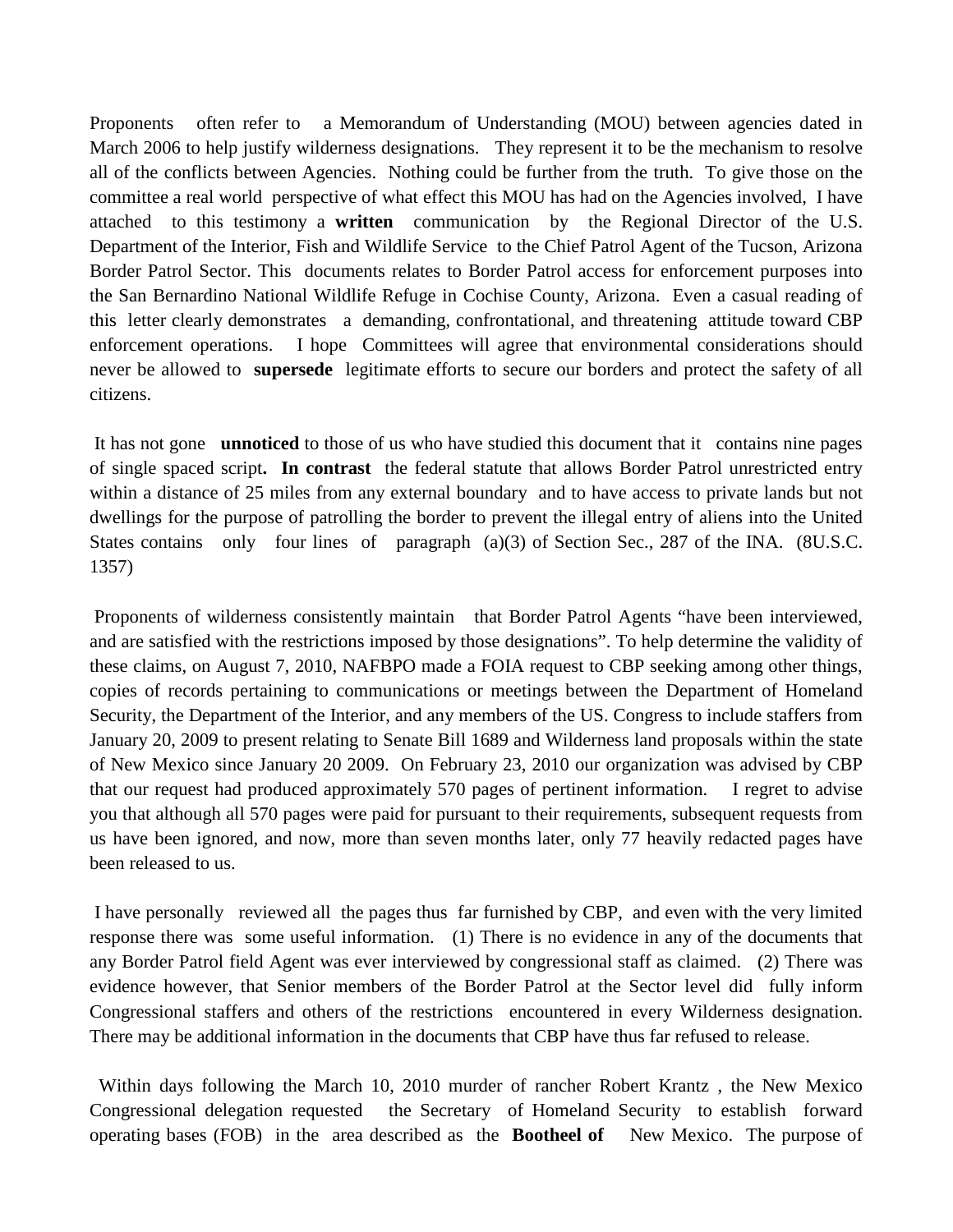Proponents often refer to a Memorandum of Understanding (MOU) between agencies dated in March 2006 to help justify wilderness designations. They represent it to be the mechanism to resolve all of the conflicts between Agencies. Nothing could be further from the truth. To give those on the committee a real world perspective of what effect this MOU has had on the Agencies involved, I have attached to this testimony a **written** communication by the Regional Director of the U.S. Department of the Interior, Fish and Wildlife Service to the Chief Patrol Agent of the Tucson, Arizona Border Patrol Sector. This documents relates to Border Patrol access for enforcement purposes into the San Bernardino National Wildlife Refuge in Cochise County, Arizona. Even a casual reading of this letter clearly demonstrates a demanding, confrontational, and threatening attitude toward CBP enforcement operations. I hope Committees will agree that environmental considerations should never be allowed to **supersede** legitimate efforts to secure our borders and protect the safety of all citizens.

It has not gone **unnoticed** to those of us who have studied this document that it contains nine pages of single spaced script**. In contrast** the federal statute that allows Border Patrol unrestricted entry within a distance of 25 miles from any external boundary and to have access to private lands but not dwellings for the purpose of patrolling the border to prevent the illegal entry of aliens into the United States contains only four lines of paragraph (a)(3) of Section Sec., 287 of the INA. (8U.S.C. 1357)

Proponents of wilderness consistently maintain that Border Patrol Agents "have been interviewed, and are satisfied with the restrictions imposed by those designations". To help determine the validity of these claims, on August 7, 2010, NAFBPO made a FOIA request to CBP seeking among other things, copies of records pertaining to communications or meetings between the Department of Homeland Security, the Department of the Interior, and any members of the US. Congress to include staffers from January 20, 2009 to present relating to Senate Bill 1689 and Wilderness land proposals within the state of New Mexico since January 20 2009. On February 23, 2010 our organization was advised by CBP that our request had produced approximately 570 pages of pertinent information. I regret to advise you that although all 570 pages were paid for pursuant to their requirements, subsequent requests from us have been ignored, and now, more than seven months later, only 77 heavily redacted pages have been released to us.

I have personally reviewed all the pages thus far furnished by CBP, and even with the very limited response there was some useful information. (1) There is no evidence in any of the documents that any Border Patrol field Agent was ever interviewed by congressional staff as claimed. (2) There was evidence however, that Senior members of the Border Patrol at the Sector level did fully inform Congressional staffers and others of the restrictions encountered in every Wilderness designation. There may be additional information in the documents that CBP have thus far refused to release.

 Within days following the March 10, 2010 murder of rancher Robert Krantz , the New Mexico Congressional delegation requested the Secretary of Homeland Security to establish forward operating bases (FOB) in the area described as the **Bootheel of** New Mexico. The purpose of